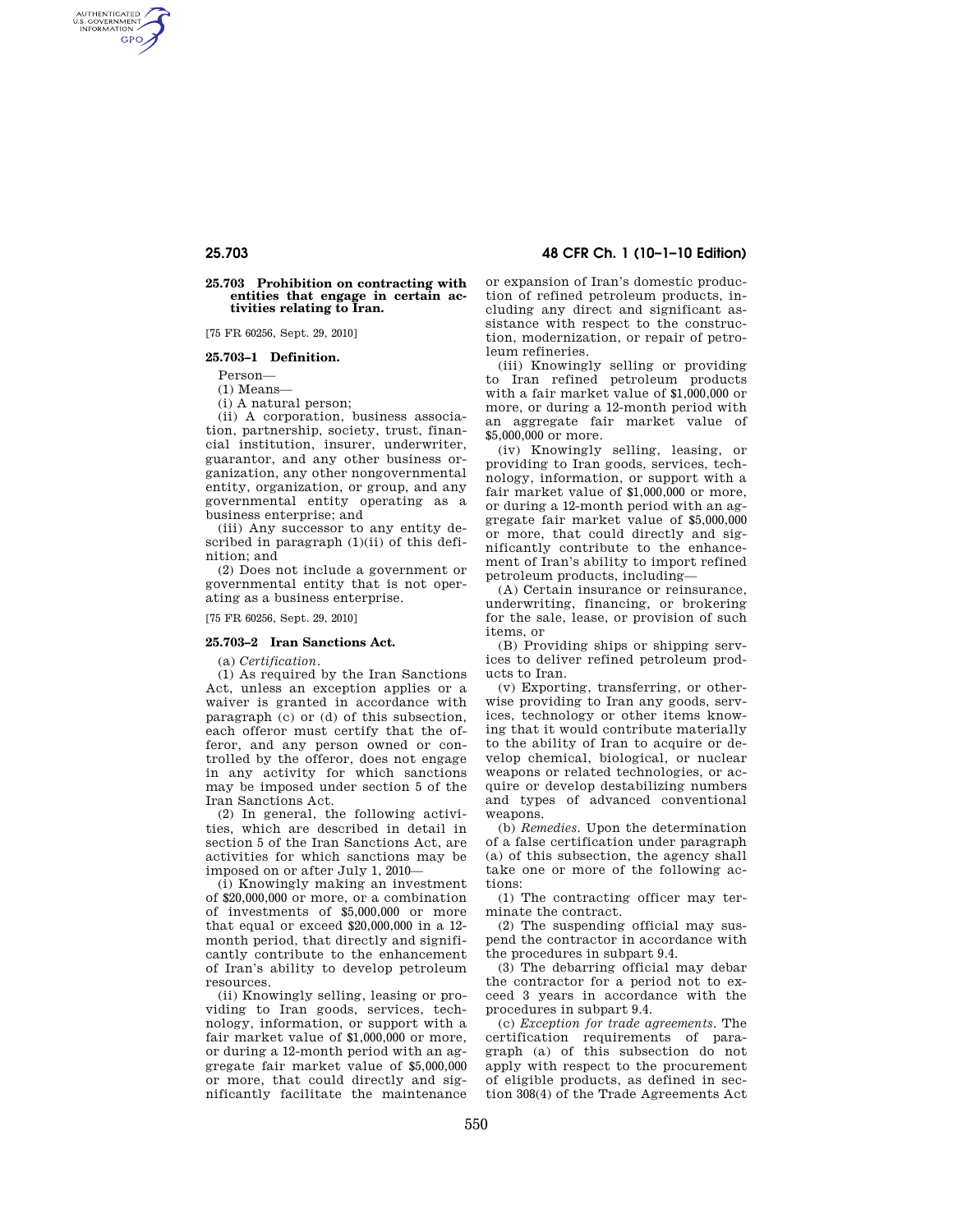AUTHENTICATED<br>U.S. GOVERNMENT<br>INFORMATION **GPO** 

### **25.703 Prohibition on contracting with entities that engage in certain activities relating to Iran.**

[75 FR 60256, Sept. 29, 2010]

## **25.703–1 Definition.**

Person—

(1) Means—

(i) A natural person;

(ii) A corporation, business association, partnership, society, trust, financial institution, insurer, underwriter, guarantor, and any other business organization, any other nongovernmental entity, organization, or group, and any governmental entity operating as a business enterprise; and

(iii) Any successor to any entity described in paragraph (1)(ii) of this definition; and

(2) Does not include a government or governmental entity that is not operating as a business enterprise.

[75 FR 60256, Sept. 29, 2010]

### **25.703–2 Iran Sanctions Act.**

(a) *Certification.* 

(1) As required by the Iran Sanctions Act, unless an exception applies or a waiver is granted in accordance with paragraph (c) or (d) of this subsection, each offeror must certify that the offeror, and any person owned or controlled by the offeror, does not engage in any activity for which sanctions may be imposed under section 5 of the Iran Sanctions Act.

(2) In general, the following activities, which are described in detail in section 5 of the Iran Sanctions Act, are activities for which sanctions may be imposed on or after July 1, 2010—

(i) Knowingly making an investment of \$20,000,000 or more, or a combination of investments of \$5,000,000 or more that equal or exceed \$20,000,000 in a 12 month period, that directly and significantly contribute to the enhancement of Iran's ability to develop petroleum resources.

(ii) Knowingly selling, leasing or providing to Iran goods, services, technology, information, or support with a fair market value of \$1,000,000 or more, or during a 12-month period with an aggregate fair market value of \$5,000,000 or more, that could directly and significantly facilitate the maintenance

# **25.703 48 CFR Ch. 1 (10–1–10 Edition)**

or expansion of Iran's domestic production of refined petroleum products, including any direct and significant assistance with respect to the construction, modernization, or repair of petroleum refineries.

(iii) Knowingly selling or providing to Iran refined petroleum products with a fair market value of \$1,000,000 or more, or during a 12-month period with an aggregate fair market value of \$5,000,000 or more.

(iv) Knowingly selling, leasing, or providing to Iran goods, services, technology, information, or support with a fair market value of \$1,000,000 or more, or during a 12-month period with an aggregate fair market value of \$5,000,000 or more, that could directly and significantly contribute to the enhancement of Iran's ability to import refined petroleum products, including—

(A) Certain insurance or reinsurance, underwriting, financing, or brokering for the sale, lease, or provision of such items, or

(B) Providing ships or shipping services to deliver refined petroleum products to Iran.

(v) Exporting, transferring, or otherwise providing to Iran any goods, services, technology or other items knowing that it would contribute materially to the ability of Iran to acquire or develop chemical, biological, or nuclear weapons or related technologies, or acquire or develop destabilizing numbers and types of advanced conventional weapons.

(b) *Remedies.* Upon the determination of a false certification under paragraph (a) of this subsection, the agency shall take one or more of the following actions:

(1) The contracting officer may terminate the contract.

(2) The suspending official may suspend the contractor in accordance with the procedures in subpart 9.4.

(3) The debarring official may debar the contractor for a period not to exceed 3 years in accordance with the procedures in subpart 9.4.

(c) *Exception for trade agreements.* The certification requirements of paragraph (a) of this subsection do not apply with respect to the procurement of eligible products, as defined in section 308(4) of the Trade Agreements Act